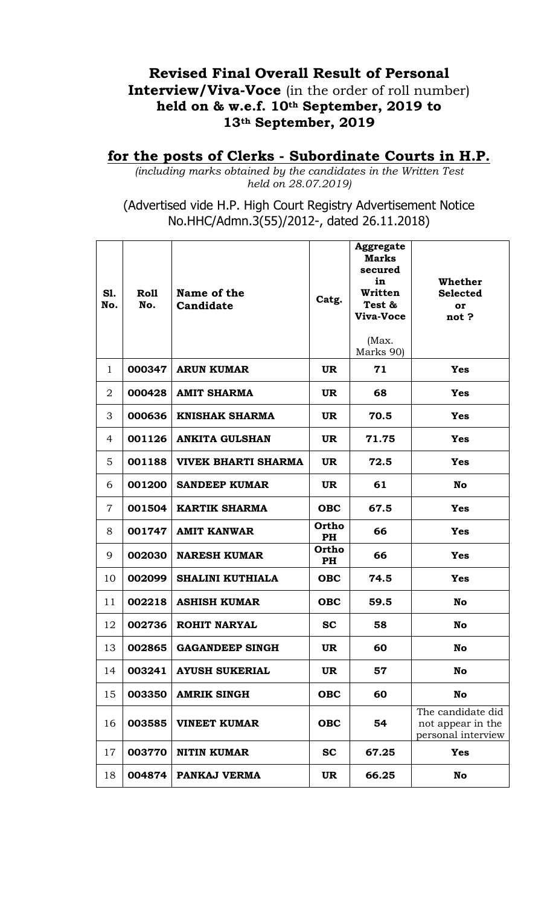## **Revised Final Overall Result of Personal Interview/Viva-Voce** (in the order of roll number) **held on & w.e.f. 10th September, 2019 to 13th September, 2019**

## **for the posts of Clerks - Subordinate Courts in H.P.**

*(including marks obtained by the candidates in the Written Test held on 28.07.2019)*

(Advertised vide H.P. High Court Registry Advertisement Notice No.HHC/Admn.3(55)/2012-, dated 26.11.2018)

| S1.<br>No.     | Roll<br>No. | Name of the<br>Candidate   | Catg.              | <b>Aggregate</b><br><b>Marks</b><br>secured<br>in<br>Written<br>Test &<br>Viva-Voce<br>(Max.<br>Marks 90) | Whether<br><b>Selected</b><br>or<br>not?                     |
|----------------|-------------|----------------------------|--------------------|-----------------------------------------------------------------------------------------------------------|--------------------------------------------------------------|
| $\mathbf{1}$   | 000347      | <b>ARUN KUMAR</b>          | UR.                | 71                                                                                                        | <b>Yes</b>                                                   |
| 2              | 000428      | <b>AMIT SHARMA</b>         | <b>UR</b>          | 68                                                                                                        | <b>Yes</b>                                                   |
| 3              | 000636      | <b>KNISHAK SHARMA</b>      | <b>UR</b>          | 70.5                                                                                                      | <b>Yes</b>                                                   |
| 4              | 001126      | <b>ANKITA GULSHAN</b>      | <b>UR</b>          | 71.75                                                                                                     | <b>Yes</b>                                                   |
| 5              | 001188      | <b>VIVEK BHARTI SHARMA</b> | <b>UR</b>          | 72.5                                                                                                      | <b>Yes</b>                                                   |
| 6              | 001200      | <b>SANDEEP KUMAR</b>       | <b>UR</b>          | 61                                                                                                        | No                                                           |
| $\overline{7}$ | 001504      | <b>KARTIK SHARMA</b>       | <b>OBC</b>         | 67.5                                                                                                      | <b>Yes</b>                                                   |
| 8              | 001747      | <b>AMIT KANWAR</b>         | Ortho<br><b>PH</b> | 66                                                                                                        | <b>Yes</b>                                                   |
| 9              | 002030      | <b>NARESH KUMAR</b>        | Ortho<br>PH        | 66                                                                                                        | <b>Yes</b>                                                   |
| 10             | 002099      | <b>SHALINI KUTHIALA</b>    | <b>OBC</b>         | 74.5                                                                                                      | <b>Yes</b>                                                   |
| 11             | 002218      | <b>ASHISH KUMAR</b>        | <b>OBC</b>         | 59.5                                                                                                      | <b>No</b>                                                    |
| 12             | 002736      | <b>ROHIT NARYAL</b>        | <b>SC</b>          | 58                                                                                                        | No                                                           |
| 13             | 002865      | <b>GAGANDEEP SINGH</b>     | <b>UR</b>          | 60                                                                                                        | No                                                           |
| 14             | 003241      | <b>AYUSH SUKERIAL</b>      | <b>UR</b>          | 57                                                                                                        | No                                                           |
| 15             | 003350      | <b>AMRIK SINGH</b>         | <b>OBC</b>         | 60                                                                                                        | No                                                           |
| 16             | 003585      | <b>VINEET KUMAR</b>        | <b>OBC</b>         | 54                                                                                                        | The candidate did<br>not appear in the<br>personal interview |
| 17             | 003770      | <b>NITIN KUMAR</b>         | <b>SC</b>          | 67.25                                                                                                     | <b>Yes</b>                                                   |
| 18             | 004874      | PANKAJ VERMA               | <b>UR</b>          | 66.25                                                                                                     | <b>No</b>                                                    |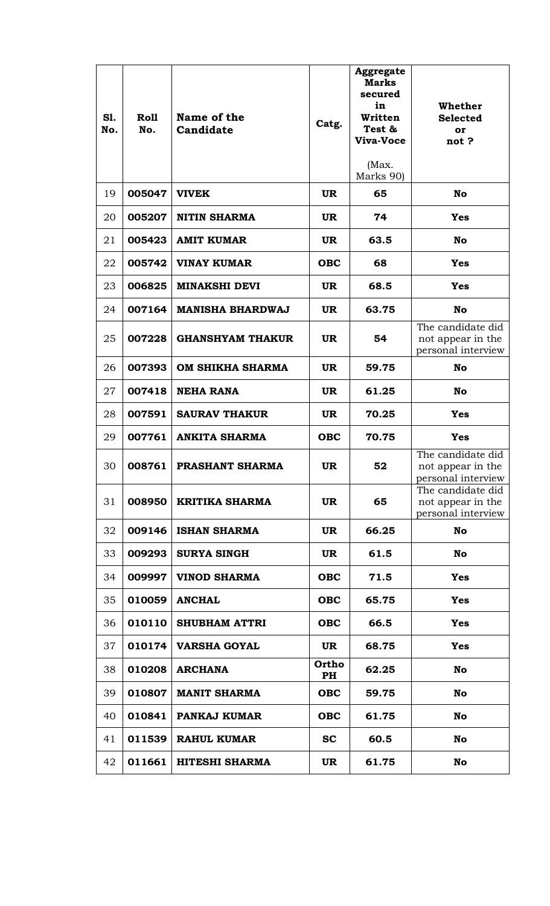| S1.<br>No. | <b>Roll</b><br>No. | Name of the<br>Candidate | Catg.       | <b>Aggregate</b><br><b>Marks</b><br>secured<br>in<br>Written<br>Test &<br>Viva-Voce<br>(Max.<br>Marks 90) | Whether<br><b>Selected</b><br>or<br>not?                     |
|------------|--------------------|--------------------------|-------------|-----------------------------------------------------------------------------------------------------------|--------------------------------------------------------------|
| 19         | 005047             | <b>VIVEK</b>             | <b>UR</b>   | 65                                                                                                        | No                                                           |
| 20         | 005207             | <b>NITIN SHARMA</b>      | <b>UR</b>   | 74                                                                                                        | <b>Yes</b>                                                   |
| 21         | 005423             | <b>AMIT KUMAR</b>        | <b>UR</b>   | 63.5                                                                                                      | No                                                           |
| 22         | 005742             | <b>VINAY KUMAR</b>       | <b>OBC</b>  | 68                                                                                                        | <b>Yes</b>                                                   |
| 23         | 006825             | <b>MINAKSHI DEVI</b>     | <b>UR</b>   | 68.5                                                                                                      | <b>Yes</b>                                                   |
| 24         | 007164             | <b>MANISHA BHARDWAJ</b>  | <b>UR</b>   | 63.75                                                                                                     | No                                                           |
| 25         | 007228             | <b>GHANSHYAM THAKUR</b>  | <b>UR</b>   | 54                                                                                                        | The candidate did<br>not appear in the<br>personal interview |
| 26         | 007393             | <b>OM SHIKHA SHARMA</b>  | <b>UR</b>   | 59.75                                                                                                     | No                                                           |
| 27         | 007418             | <b>NEHA RANA</b>         | <b>UR</b>   | 61.25                                                                                                     | No                                                           |
| 28         | 007591             | <b>SAURAV THAKUR</b>     | <b>UR</b>   | 70.25                                                                                                     | <b>Yes</b>                                                   |
| 29         | 007761             | <b>ANKITA SHARMA</b>     | <b>OBC</b>  | 70.75                                                                                                     | <b>Yes</b>                                                   |
| 30         | 008761             | PRASHANT SHARMA          | <b>UR</b>   | 52                                                                                                        | The candidate did<br>not appear in the<br>personal interview |
| 31         | 008950             | <b>KRITIKA SHARMA</b>    | <b>UR</b>   | 65                                                                                                        | The candidate did<br>not appear in the<br>personal interview |
| 32         | 009146             | <b>ISHAN SHARMA</b>      | <b>UR</b>   | 66.25                                                                                                     | No                                                           |
| 33         | 009293             | <b>SURYA SINGH</b>       | <b>UR</b>   | 61.5                                                                                                      | No                                                           |
| 34         | 009997             | <b>VINOD SHARMA</b>      | <b>OBC</b>  | 71.5                                                                                                      | <b>Yes</b>                                                   |
| 35         | 010059             | <b>ANCHAL</b>            | <b>OBC</b>  | 65.75                                                                                                     | <b>Yes</b>                                                   |
| 36         | 010110             | <b>SHUBHAM ATTRI</b>     | <b>OBC</b>  | 66.5                                                                                                      | <b>Yes</b>                                                   |
| 37         | 010174             | <b>VARSHA GOYAL</b>      | <b>UR</b>   | 68.75                                                                                                     | <b>Yes</b>                                                   |
| 38         | 010208             | <b>ARCHANA</b>           | Ortho<br>PH | 62.25                                                                                                     | No                                                           |
| 39         | 010807             | <b>MANIT SHARMA</b>      | <b>OBC</b>  | 59.75                                                                                                     | No                                                           |
| 40         | 010841             | PANKAJ KUMAR             | <b>OBC</b>  | 61.75                                                                                                     | No                                                           |
| 41         | 011539             | <b>RAHUL KUMAR</b>       | <b>SC</b>   | 60.5                                                                                                      | No                                                           |
| 42         | 011661             | <b>HITESHI SHARMA</b>    | <b>UR</b>   | 61.75                                                                                                     | No                                                           |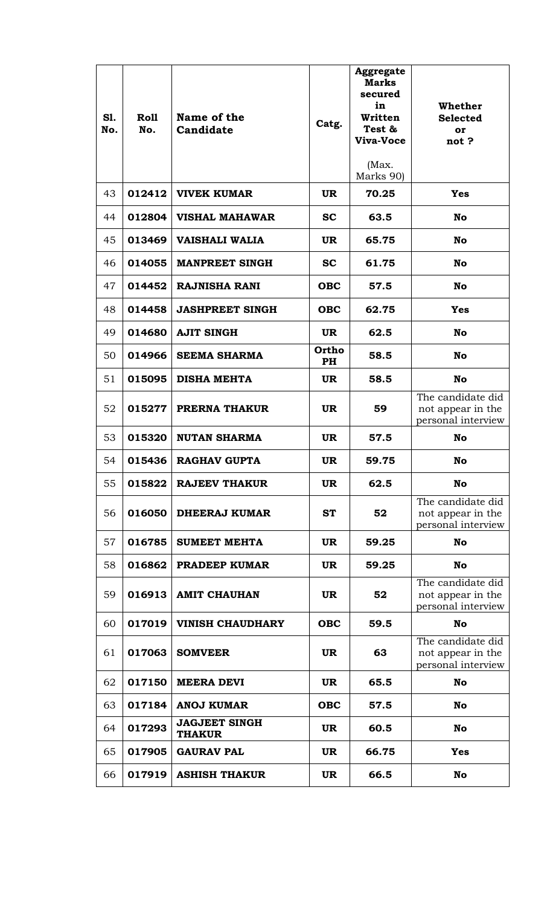| S1.<br>No. | <b>Roll</b><br>No. | Name of the<br>Candidate              | Catg.       | <b>Aggregate</b><br><b>Marks</b><br>secured<br>in<br>Written<br>Test &<br>Viva-Voce<br>(Max.<br>Marks 90) | Whether<br><b>Selected</b><br>or<br>not?                     |
|------------|--------------------|---------------------------------------|-------------|-----------------------------------------------------------------------------------------------------------|--------------------------------------------------------------|
| 43         | 012412             | <b>VIVEK KUMAR</b>                    | <b>UR</b>   | 70.25                                                                                                     | <b>Yes</b>                                                   |
| 44         | 012804             | <b>VISHAL MAHAWAR</b>                 | <b>SC</b>   | 63.5                                                                                                      | No                                                           |
| 45         | 013469             | <b>VAISHALI WALIA</b>                 | <b>UR</b>   | 65.75                                                                                                     | No                                                           |
| 46         | 014055             | <b>MANPREET SINGH</b>                 | SC          | 61.75                                                                                                     | No                                                           |
| 47         | 014452             | <b>RAJNISHA RANI</b>                  | <b>OBC</b>  | 57.5                                                                                                      | No                                                           |
| 48         | 014458             | <b>JASHPREET SINGH</b>                | <b>OBC</b>  | 62.75                                                                                                     | <b>Yes</b>                                                   |
| 49         | 014680             | <b>AJIT SINGH</b>                     | <b>UR</b>   | 62.5                                                                                                      | <b>No</b>                                                    |
| 50         | 014966             | <b>SEEMA SHARMA</b>                   | Ortho<br>PH | 58.5                                                                                                      | <b>No</b>                                                    |
| 51         | 015095             | <b>DISHA MEHTA</b>                    | <b>UR</b>   | 58.5                                                                                                      | No                                                           |
| 52         | 015277             | <b>PRERNA THAKUR</b>                  | <b>UR</b>   | 59                                                                                                        | The candidate did<br>not appear in the<br>personal interview |
| 53         | 015320             | <b>NUTAN SHARMA</b>                   | <b>UR</b>   | 57.5                                                                                                      | No                                                           |
| 54         | 015436             | <b>RAGHAV GUPTA</b>                   | <b>UR</b>   | 59.75                                                                                                     | No                                                           |
| 55         | 015822             | <b>RAJEEV THAKUR</b>                  | <b>UR</b>   | 62.5                                                                                                      | <b>No</b>                                                    |
| 56         | 016050             | <b>DHEERAJ KUMAR</b>                  | <b>ST</b>   | 52                                                                                                        | The candidate did<br>not appear in the<br>personal interview |
| 57         | 016785             | <b>SUMEET MEHTA</b>                   | <b>UR</b>   | 59.25                                                                                                     | No                                                           |
| 58         | 016862             | <b>PRADEEP KUMAR</b>                  | <b>UR</b>   | 59.25                                                                                                     | No                                                           |
| 59         | 016913             | <b>AMIT CHAUHAN</b>                   | <b>UR</b>   | 52                                                                                                        | The candidate did<br>not appear in the<br>personal interview |
| 60         | 017019             | <b>VINISH CHAUDHARY</b>               | <b>OBC</b>  | 59.5                                                                                                      | <b>No</b>                                                    |
| 61         | 017063             | <b>SOMVEER</b>                        | <b>UR</b>   | 63                                                                                                        | The candidate did<br>not appear in the<br>personal interview |
| 62         | 017150             | <b>MEERA DEVI</b>                     | <b>UR</b>   | 65.5                                                                                                      | No                                                           |
| 63         | 017184             | <b>ANOJ KUMAR</b>                     | <b>OBC</b>  | 57.5                                                                                                      | No                                                           |
| 64         | 017293             | <b>JAGJEET SINGH</b><br><b>THAKUR</b> | <b>UR</b>   | 60.5                                                                                                      | No                                                           |
| 65         | 017905             | <b>GAURAV PAL</b>                     | <b>UR</b>   | 66.75                                                                                                     | <b>Yes</b>                                                   |
| 66         | 017919             | <b>ASHISH THAKUR</b>                  | <b>UR</b>   | 66.5                                                                                                      | No                                                           |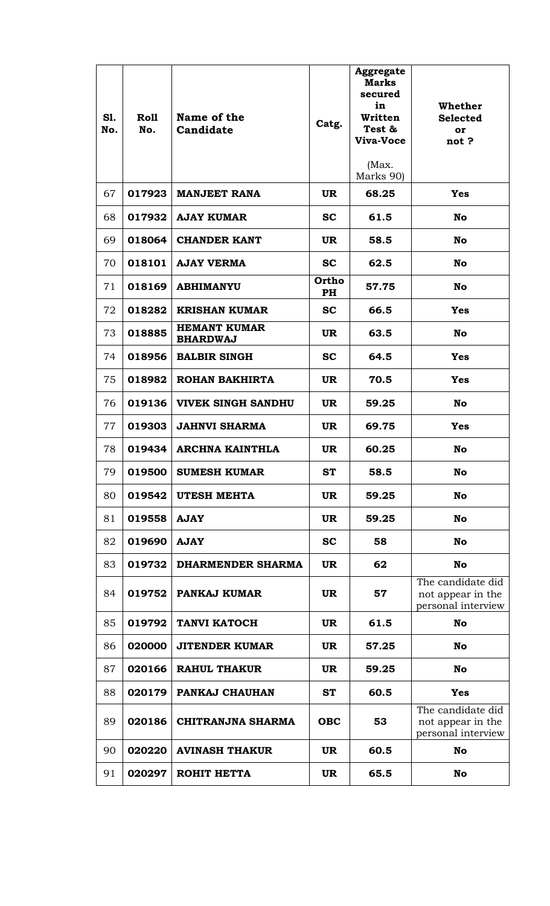| S1.<br>No. | <b>Roll</b><br>No. | Name of the<br>Candidate               | Catg.       | <b>Aggregate</b><br><b>Marks</b><br>secured<br>in<br>Written<br>Test &<br>Viva-Voce<br>(Max.<br>Marks 90) | Whether<br><b>Selected</b><br>or<br>not?                     |
|------------|--------------------|----------------------------------------|-------------|-----------------------------------------------------------------------------------------------------------|--------------------------------------------------------------|
| 67         | 017923             | <b>MANJEET RANA</b>                    | <b>UR</b>   | 68.25                                                                                                     | <b>Yes</b>                                                   |
| 68         | 017932             | <b>AJAY KUMAR</b>                      | <b>SC</b>   | 61.5                                                                                                      | No                                                           |
| 69         | 018064             | <b>CHANDER KANT</b>                    | <b>UR</b>   | 58.5                                                                                                      | No                                                           |
| 70         | 018101             | <b>AJAY VERMA</b>                      | <b>SC</b>   | 62.5                                                                                                      | No                                                           |
| 71         | 018169             | <b>ABHIMANYU</b>                       | Ortho<br>PH | 57.75                                                                                                     | No                                                           |
| 72         | 018282             | <b>KRISHAN KUMAR</b>                   | <b>SC</b>   | 66.5                                                                                                      | <b>Yes</b>                                                   |
| 73         | 018885             | <b>HEMANT KUMAR</b><br><b>BHARDWAJ</b> | <b>UR</b>   | 63.5                                                                                                      | No                                                           |
| 74         | 018956             | <b>BALBIR SINGH</b>                    | <b>SC</b>   | 64.5                                                                                                      | <b>Yes</b>                                                   |
| 75         | 018982             | ROHAN BAKHIRTA                         | <b>UR</b>   | 70.5                                                                                                      | <b>Yes</b>                                                   |
| 76         | 019136             | <b>VIVEK SINGH SANDHU</b>              | <b>UR</b>   | 59.25                                                                                                     | No                                                           |
| 77         | 019303             | <b>JAHNVI SHARMA</b>                   | <b>UR</b>   | 69.75                                                                                                     | <b>Yes</b>                                                   |
| 78         | 019434             | <b>ARCHNA KAINTHLA</b>                 | <b>UR</b>   | 60.25                                                                                                     | No                                                           |
| 79         | 019500             | <b>SUMESH KUMAR</b>                    | <b>ST</b>   | 58.5                                                                                                      | No                                                           |
| 80         | 019542             | UTESH MEHTA                            | <b>UR</b>   | 59.25                                                                                                     | No                                                           |
| 81         | 019558             | <b>AJAY</b>                            | <b>UR</b>   | 59.25                                                                                                     | No                                                           |
| 82         | 019690             | <b>AJAY</b>                            | <b>SC</b>   | 58                                                                                                        | No                                                           |
| 83         | 019732             | <b>DHARMENDER SHARMA</b>               | <b>UR</b>   | 62                                                                                                        | No                                                           |
| 84         | 019752             | <b>PANKAJ KUMAR</b>                    | <b>UR</b>   | 57                                                                                                        | The candidate did<br>not appear in the<br>personal interview |
| 85         | 019792             | <b>TANVI KATOCH</b>                    | <b>UR</b>   | 61.5                                                                                                      | No                                                           |
| 86         | 020000             | <b>JITENDER KUMAR</b>                  | <b>UR</b>   | 57.25                                                                                                     | No                                                           |
| 87         | 020166             | <b>RAHUL THAKUR</b>                    | <b>UR</b>   | 59.25                                                                                                     | No                                                           |
| 88         | 020179             | PANKAJ CHAUHAN                         | <b>ST</b>   | 60.5                                                                                                      | <b>Yes</b>                                                   |
| 89         | 020186             | <b>CHITRANJNA SHARMA</b>               | <b>OBC</b>  | 53                                                                                                        | The candidate did<br>not appear in the<br>personal interview |
| 90         | 020220             | <b>AVINASH THAKUR</b>                  | <b>UR</b>   | 60.5                                                                                                      | No                                                           |
| 91         | 020297             | ROHIT HETTA                            | <b>UR</b>   | 65.5                                                                                                      | No                                                           |